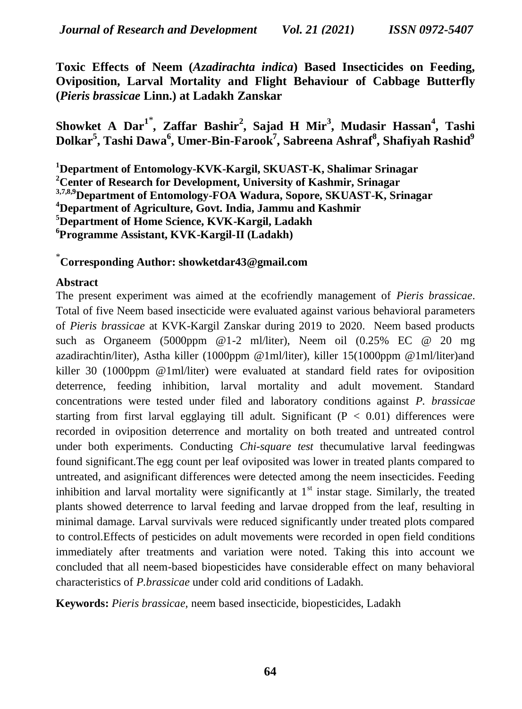**Toxic Effects of Neem (***Azadirachta indica***) Based Insecticides on Feeding, Oviposition, Larval Mortality and Flight Behaviour of Cabbage Butterfly (***Pieris brassicae* **Linn.) at Ladakh Zanskar**

**Showket A Dar<sup>1</sup>**\* **, Zaffar Bashir<sup>2</sup> , Sajad H Mir<sup>3</sup> , Mudasir Hassan<sup>4</sup> , Tashi Dolkar<sup>5</sup> , Tashi Dawa<sup>6</sup> , Umer-Bin-Farook<sup>7</sup> , Sabreena Ashraf<sup>8</sup> , Shafiyah Rashid<sup>9</sup>**

**Department of Entomology-KVK-Kargil, SKUAST-K, Shalimar Srinagar Center of Research for Development, University of Kashmir, Srinagar 3,7,8,9Department of Entomology-FOA Wadura, Sopore, SKUAST-K, Srinagar Department of Agriculture, Govt. India, Jammu and Kashmir Department of Home Science, KVK-Kargil, Ladakh Programme Assistant, KVK-Kargil-II (Ladakh)**

\* **Corresponding Author: showketdar43@gmail.com**

## **Abstract**

The present experiment was aimed at the ecofriendly management of *Pieris brassicae*. Total of five Neem based insecticide were evaluated against various behavioral parameters of *Pieris brassicae* at KVK-Kargil Zanskar during 2019 to 2020. Neem based products such as Organeem (5000ppm @1-2 ml/liter), Neem oil (0.25% EC @ 20 mg azadirachtin/liter), Astha killer (1000ppm @1ml/liter), killer 15(1000ppm @1ml/liter)and killer 30 (1000ppm @1ml/liter) were evaluated at standard field rates for oviposition deterrence, feeding inhibition, larval mortality and adult movement. Standard concentrations were tested under filed and laboratory conditions against *P. brassicae* starting from first larval egglaying till adult. Significant  $(P < 0.01)$  differences were recorded in oviposition deterrence and mortality on both treated and untreated control under both experiments. Conducting *Chi-square test* thecumulative larval feedingwas found significant.The egg count per leaf oviposited was lower in treated plants compared to untreated, and asignificant differences were detected among the neem insecticides. Feeding inhibition and larval mortality were significantly at  $1<sup>st</sup>$  instar stage. Similarly, the treated plants showed deterrence to larval feeding and larvae dropped from the leaf, resulting in minimal damage. Larval survivals were reduced significantly under treated plots compared to control.Effects of pesticides on adult movements were recorded in open field conditions immediately after treatments and variation were noted. Taking this into account we concluded that all neem-based biopesticides have considerable effect on many behavioral characteristics of *P.brassicae* under cold arid conditions of Ladakh.

**Keywords:** *Pieris brassicae,* neem based insecticide, biopesticides, Ladakh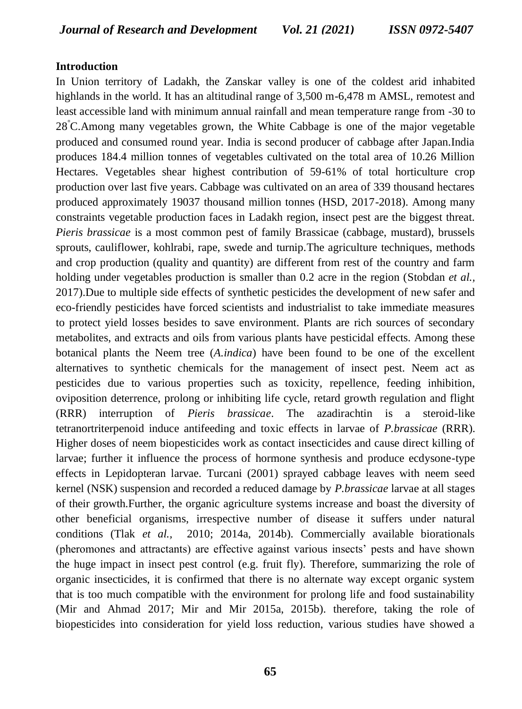#### **Introduction**

In Union territory of Ladakh, the Zanskar valley is one of the coldest arid inhabited highlands in the world. It has an altitudinal range of 3,500 m-6,478 m AMSL, remotest and least accessible land with minimum annual rainfall and mean temperature range from -30 to 28°C.Among many vegetables grown, the White Cabbage is one of the major vegetable produced and consumed round year. India is second producer of cabbage after Japan.India produces 184.4 million tonnes of vegetables cultivated on the total area of 10.26 Million Hectares. Vegetables shear highest contribution of 59-61% of total horticulture crop production over last five years. Cabbage was cultivated on an area of 339 thousand hectares produced approximately 19037 thousand million tonnes (HSD, 2017-2018). Among many constraints vegetable production faces in Ladakh region, insect pest are the biggest threat. *Pieris brassicae* is a most common pest of family Brassicae (cabbage, mustard), brussels sprouts, cauliflower, kohlrabi, rape, swede and turnip.The agriculture techniques, methods and crop production (quality and quantity) are different from rest of the country and farm holding under vegetables production is smaller than 0.2 acre in the region (Stobdan *et al.*, 2017).Due to multiple side effects of synthetic pesticides the development of new safer and eco-friendly pesticides have forced scientists and industrialist to take immediate measures to protect yield losses besides to save environment. Plants are rich sources of secondary metabolites, and extracts and oils from various plants have pesticidal effects. Among these botanical plants the Neem tree (*A.indica*) have been found to be one of the excellent alternatives to synthetic chemicals for the management of insect pest. Neem act as pesticides due to various properties such as toxicity, repellence, feeding inhibition, oviposition deterrence, prolong or inhibiting life cycle, retard growth regulation and flight (RRR) interruption of *Pieris brassicae*. The azadirachtin is a steroid-like tetranortriterpenoid induce antifeeding and toxic effects in larvae of *P.brassicae* (RRR). Higher doses of neem biopesticides work as contact insecticides and cause direct killing of larvae; further it influence the process of hormone synthesis and produce ecdysone-type effects in Lepidopteran larvae. Turcani (2001) sprayed cabbage leaves with neem seed kernel (NSK) suspension and recorded a reduced damage by *P.brassicae* larvae at all stages of their growth.Further, the organic agriculture systems increase and boast the diversity of other beneficial organisms, irrespective number of disease it suffers under natural conditions (Tlak *et al.,* 2010; 2014a, 2014b). Commercially available biorationals (pheromones and attractants) are effective against various insects' pests and have shown the huge impact in insect pest control (e.g. fruit fly). Therefore, summarizing the role of organic insecticides, it is confirmed that there is no alternate way except organic system that is too much compatible with the environment for prolong life and food sustainability (Mir and Ahmad 2017; Mir and Mir 2015a, 2015b). therefore, taking the role of biopesticides into consideration for yield loss reduction, various studies have showed a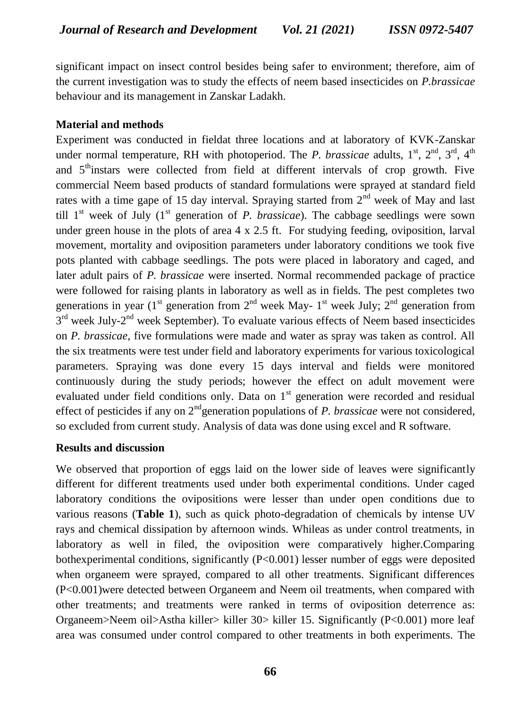significant impact on insect control besides being safer to environment; therefore, aim of the current investigation was to study the effects of neem based insecticides on *P.brassicae*  behaviour and its management in Zanskar Ladakh.

### **Material and methods**

Experiment was conducted in fieldat three locations and at laboratory of KVK-Zanskar under normal temperature, RH with photoperiod. The *P. brassicae* adults, 1<sup>st</sup>, 2<sup>nd</sup>, 3<sup>rd</sup>, 4<sup>th</sup> and  $5<sup>th</sup>$  instars were collected from field at different intervals of crop growth. Five commercial Neem based products of standard formulations were sprayed at standard field rates with a time gape of 15 day interval. Spraying started from  $2<sup>nd</sup>$  week of May and last till  $1<sup>st</sup>$  week of July  $(1<sup>st</sup>$  generation of *P. brassicae*). The cabbage seedlings were sown under green house in the plots of area  $4 \times 2.5$  ft. For studying feeding, oviposition, larval movement, mortality and oviposition parameters under laboratory conditions we took five pots planted with cabbage seedlings. The pots were placed in laboratory and caged, and later adult pairs of *P. brassicae* were inserted. Normal recommended package of practice were followed for raising plants in laboratory as well as in fields. The pest completes two generations in year ( $1<sup>st</sup>$  generation from  $2<sup>nd</sup>$  week May-  $1<sup>st</sup>$  week July;  $2<sup>nd</sup>$  generation from 3<sup>rd</sup> week July-2<sup>nd</sup> week September). To evaluate various effects of Neem based insecticides on *P. brassicae*, five formulations were made and water as spray was taken as control. All the six treatments were test under field and laboratory experiments for various toxicological parameters. Spraying was done every 15 days interval and fields were monitored continuously during the study periods; however the effect on adult movement were evaluated under field conditions only. Data on  $1<sup>st</sup>$  generation were recorded and residual effect of pesticides if any on 2<sup>nd</sup>generation populations of *P. brassicae* were not considered, so excluded from current study. Analysis of data was done using excel and R software.

#### **Results and discussion**

We observed that proportion of eggs laid on the lower side of leaves were significantly different for different treatments used under both experimental conditions. Under caged laboratory conditions the ovipositions were lesser than under open conditions due to various reasons (**Table 1**), such as quick photo-degradation of chemicals by intense UV rays and chemical dissipation by afternoon winds. Whileas as under control treatments, in laboratory as well in filed, the oviposition were comparatively higher.Comparing bothexperimental conditions, significantly (P<0.001) lesser number of eggs were deposited when organeem were sprayed, compared to all other treatments. Significant differences (P<0.001)were detected between Organeem and Neem oil treatments, when compared with other treatments; and treatments were ranked in terms of oviposition deterrence as: Organeem>Neem oil>Astha killer> killer 30> killer 15. Significantly (P<0.001) more leaf area was consumed under control compared to other treatments in both experiments. The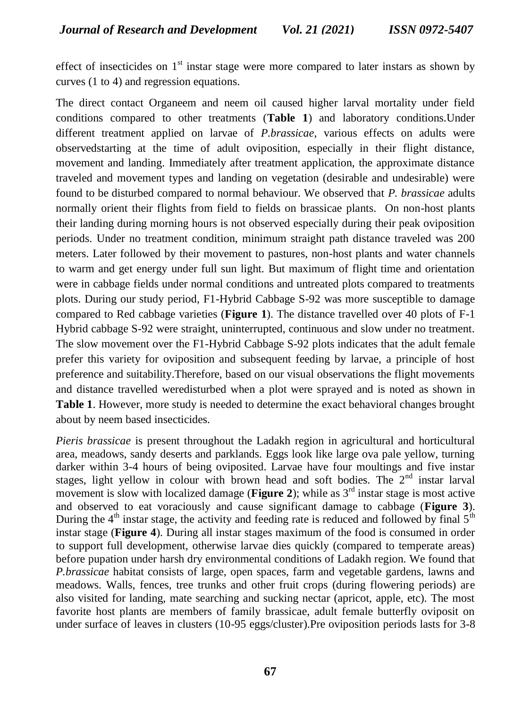effect of insecticides on  $1<sup>st</sup>$  instar stage were more compared to later instars as shown by curves (1 to 4) and regression equations.

The direct contact Organeem and neem oil caused higher larval mortality under field conditions compared to other treatments (**Table 1**) and laboratory conditions.Under different treatment applied on larvae of *P.brassicae*, various effects on adults were observedstarting at the time of adult oviposition, especially in their flight distance, movement and landing. Immediately after treatment application, the approximate distance traveled and movement types and landing on vegetation (desirable and undesirable) were found to be disturbed compared to normal behaviour. We observed that *P. brassicae* adults normally orient their flights from field to fields on brassicae plants. On non-host plants their landing during morning hours is not observed especially during their peak oviposition periods. Under no treatment condition, minimum straight path distance traveled was 200 meters. Later followed by their movement to pastures, non-host plants and water channels to warm and get energy under full sun light. But maximum of flight time and orientation were in cabbage fields under normal conditions and untreated plots compared to treatments plots. During our study period, F1-Hybrid Cabbage S-92 was more susceptible to damage compared to Red cabbage varieties (**Figure 1**). The distance travelled over 40 plots of F-1 Hybrid cabbage S-92 were straight, uninterrupted, continuous and slow under no treatment. The slow movement over the F1-Hybrid Cabbage S-92 plots indicates that the adult female prefer this variety for oviposition and subsequent feeding by larvae, a principle of host preference and suitability.Therefore, based on our visual observations the flight movements and distance travelled weredisturbed when a plot were sprayed and is noted as shown in **Table 1**. However, more study is needed to determine the exact behavioral changes brought about by neem based insecticides.

*Pieris brassicae* is present throughout the Ladakh region in agricultural and horticultural area, meadows, sandy deserts and parklands. Eggs look like large ova pale yellow, turning darker within 3-4 hours of being oviposited. Larvae have four moultings and five instar stages, light yellow in colour with brown head and soft bodies. The  $2<sup>nd</sup>$  instar larval movement is slow with localized damage (**Figure 2**); while as 3<sup>rd</sup> instar stage is most active and observed to eat voraciously and cause significant damage to cabbage (**Figure 3**). During the  $4<sup>th</sup>$  instar stage, the activity and feeding rate is reduced and followed by final  $5<sup>th</sup>$ instar stage (**Figure 4**). During all instar stages maximum of the food is consumed in order to support full development, otherwise larvae dies quickly (compared to temperate areas) before pupation under harsh dry environmental conditions of Ladakh region. We found that *P.brassicae* habitat consists of large, open spaces, farm and vegetable gardens, lawns and meadows. Walls, fences, tree trunks and other fruit crops (during flowering periods) are also visited for landing, mate searching and sucking nectar (apricot, apple, etc). The most favorite host plants are members of family brassicae, adult female butterfly oviposit on under surface of leaves in clusters (10-95 eggs/cluster).Pre oviposition periods lasts for 3-8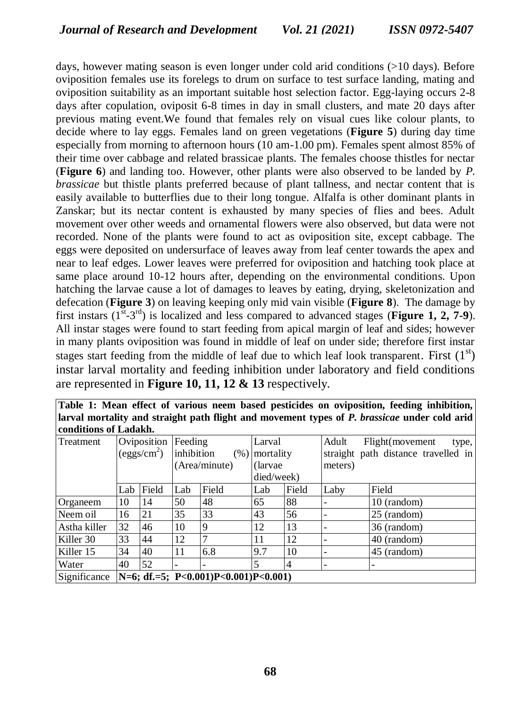days, however mating season is even longer under cold arid conditions (>10 days). Before oviposition females use its forelegs to drum on surface to test surface landing, mating and oviposition suitability as an important suitable host selection factor. Egg-laying occurs 2-8 days after copulation, oviposit 6-8 times in day in small clusters, and mate 20 days after previous mating event.We found that females rely on visual cues like colour plants, to decide where to lay eggs. Females land on green vegetations (**Figure 5**) during day time especially from morning to afternoon hours (10 am-1.00 pm). Females spent almost 85% of their time over cabbage and related brassicae plants. The females choose thistles for nectar (**Figure 6**) and landing too. However, other plants were also observed to be landed by *P. brassicae* but thistle plants preferred because of plant tallness, and nectar content that is easily available to butterflies due to their long tongue. Alfalfa is other dominant plants in Zanskar; but its nectar content is exhausted by many species of flies and bees. Adult movement over other weeds and ornamental flowers were also observed, but data were not recorded. None of the plants were found to act as oviposition site, except cabbage. The eggs were deposited on undersurface of leaves away from leaf center towards the apex and near to leaf edges. Lower leaves were preferred for oviposition and hatching took place at same place around 10-12 hours after, depending on the environmental conditions. Upon hatching the larvae cause a lot of damages to leaves by eating, drying, skeletonization and defecation (**Figure 3**) on leaving keeping only mid vain visible (**Figure 8**). The damage by first instars  $(1^{st} - 3^{rd})$  is localized and less compared to advanced stages (**Figure 1, 2, 7-9**). All instar stages were found to start feeding from apical margin of leaf and sides; however in many plants oviposition was found in middle of leaf on under side; therefore first instar stages start feeding from the middle of leaf due to which leaf look transparent. First  $(1<sup>st</sup>)$ instar larval mortality and feeding inhibition under laboratory and field conditions are represented in **Figure 10, 11, 12 & 13** respectively.

| Table 1: Mean effect of various neem based pesticides on oviposition, feeding inhibition,     |  |  |  |
|-----------------------------------------------------------------------------------------------|--|--|--|
| [larval mortality and straight path flight and movement types of P. brassicae under cold arid |  |  |  |
| conditions of Ladakh.                                                                         |  |  |  |

| Treatment    |                                             | Oviposition | Feeding            |                           | Larval     |       | Adult   | Flight(movement<br>type,            |  |  |
|--------------|---------------------------------------------|-------------|--------------------|---------------------------|------------|-------|---------|-------------------------------------|--|--|
|              | $\frac{\text{degs/cm}^2}{\text{degs/cm}^2}$ |             | inhibition<br>(% ) |                           | mortality  |       |         | straight path distance travelled in |  |  |
|              |                                             |             |                    | (Area/minute)<br>(larvae) |            |       | meters) |                                     |  |  |
|              |                                             |             |                    |                           | died/week) |       |         |                                     |  |  |
|              | Lab                                         | Field       | Lab                | Field                     | Lab        | Field | Laby    | Field                               |  |  |
| Organeem     | 10                                          | 14          | 50                 | 48                        | 65         | 88    |         | 10 (random)                         |  |  |
| Neem oil     | 16                                          | 21          | 35                 | 33                        | 43         | 56    |         | 25 (random)                         |  |  |
| Astha killer | 32                                          | 46          | 10                 | 9                         | 12         | 13    |         | 36 (random)                         |  |  |
| Killer 30    | 33                                          | 44          | 12                 | 7                         | 11         | 12    |         | 40 (random)                         |  |  |
| Killer 15    | 34                                          | 40          | 11                 | 6.8                       | 9.7        | 10    |         | 45 (random)                         |  |  |
| Water        | 40                                          | 52          |                    | -                         | 5          | 4     |         | $\overline{\phantom{0}}$            |  |  |
| Significance | N=6; df.=5; P<0.001)P<0.001)P<0.001)        |             |                    |                           |            |       |         |                                     |  |  |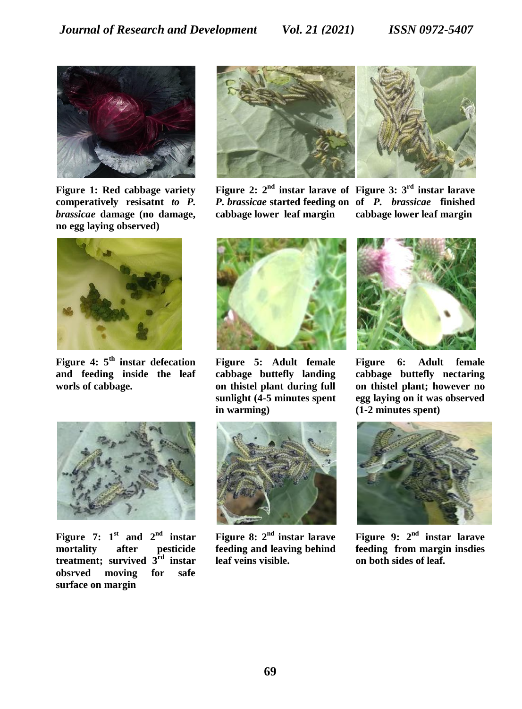

**Figure 1: Red cabbage variety comperatively resisatnt** *to P. brassicae* **damage (no damage, no egg laying observed)**



**Figure 4: 5th instar defecation and feeding inside the leaf worls of cabbage.**



**Figure 7:**  $1^{\text{st}}$  **and**  $2^{\text{nd}}$  **instar mortality after pesticide treatment; survived 3rd instar obsrved moving for safe surface on margin**



**Figure 2: 2nd instar larave of Figure 3: 3rd instar larave**  *P. brassicae* **started feeding on of** *P. brassicae* **finished cabbage lower leaf margin**

**cabbage lower leaf margin**



**Figure 5: Adult female cabbage buttefly landing on thistel plant during full sunlight (4-5 minutes spent in warming)**



**Figure 8: 2nd instar larave feeding and leaving behind leaf veins visible.**



**Figure 6: Adult female cabbage buttefly nectaring on thistel plant; however no egg laying on it was observed (1-2 minutes spent)**



**Figure 9: 2nd instar larave feeding from margin insdies on both sides of leaf.**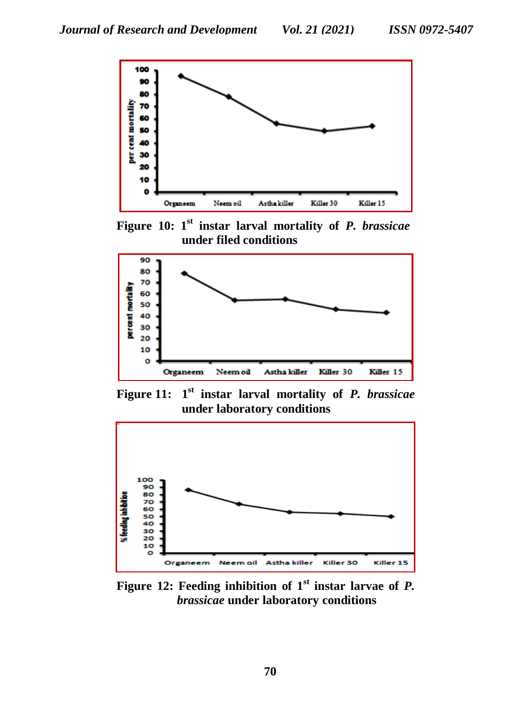

**Figure 10: 1st instar larval mortality of** *P. brassicae* **under filed conditions** 



**Figure 11: 1 st instar larval mortality of** *P. brassicae* **under laboratory conditions** 



**Figure 12: Feeding inhibition of 1st instar larvae of** *P. brassicae* **under laboratory conditions**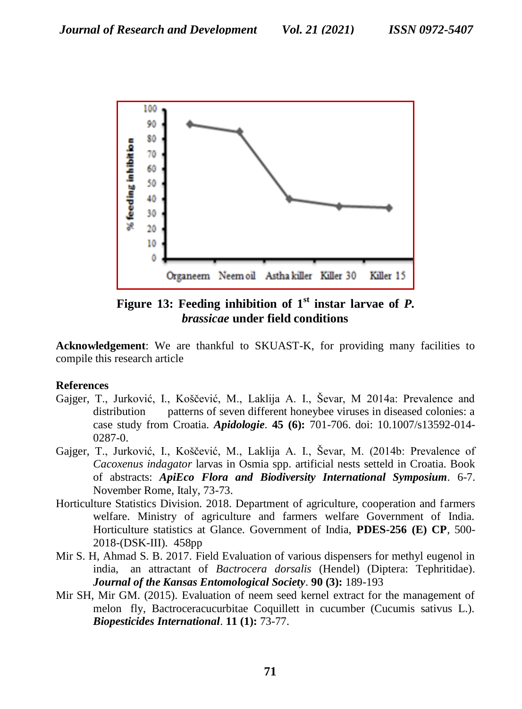

**Figure 13: Feeding inhibition of 1st instar larvae of** *P. brassicae* **under field conditions**

**Acknowledgement**: We are thankful to SKUAST-K, for providing many facilities to compile this research article

# **References**

- Gajger, T., Jurković, I., Koščević, M., Laklija A. I., Ševar, M 2014a: Prevalence and distribution patterns of seven different honeybee viruses in diseased colonies: a case study from Croatia. *Apidologie*. **45 (6):** 701-706. doi: 10.1007/s13592-014- 0287-0.
- Gajger, T., Jurković, I., Koščević, M., Laklija A. I., Ševar, M. (2014b: Prevalence of *Cacoxenus indagator* larvas in Osmia spp. artificial nests setteld in Croatia. Book of abstracts: *ApiEco Flora and Biodiversity International Symposium.* 6-7. November Rome, Italy, 73-73.
- Horticulture Statistics Division. 2018. Department of agriculture, cooperation and farmers welfare. Ministry of agriculture and farmers welfare Government of India. Horticulture statistics at Glance. Government of India, **PDES-256 (E) CP**, 500- 2018-(DSK-III). 458pp
- Mir S. H, Ahmad S. B. 2017. [Field Evaluation of various dispensers for methyl eugenol in](javascript:void(0))  india, an attractant of *Bactrocera dorsalis* [\(Hendel\) \(Diptera: Tephritidae\).](javascript:void(0)) *Journal of the Kansas Entomological Society*. **90 (3):** 189-193
- Mir SH, Mir GM. (2015). [Evaluation of neem seed kernel extract for the management of](javascript:void(0))  [melon fly, Bactroceracucurbitae Coquillett in cucumber \(Cucumis sativus L.\).](javascript:void(0)) *Biopesticides International*. **11 (1):** 73-77.